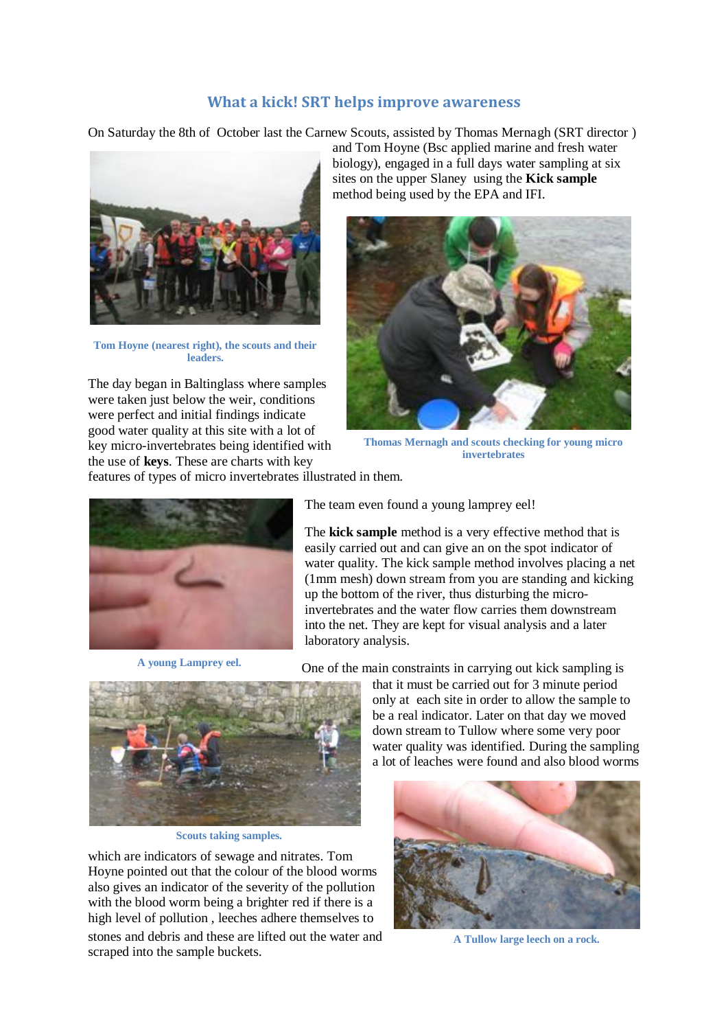## **What a kick! SRT helps improve awareness**

On Saturday the 8th of October last the Carnew Scouts, assisted by Thomas Mernagh (SRT director )



**Tom Hoyne (nearest right), the scouts and their leaders.**

The day began in Baltinglass where samples were taken just below the weir, conditions were perfect and initial findings indicate good water quality at this site with a lot of key micro-invertebrates being identified with the use of **keys**. These are charts with key

and Tom Hoyne (Bsc applied marine and fresh water biology), engaged in a full days water sampling at six sites on the upper Slaney using the **Kick sample** method being used by the EPA and IFI.



**Thomas Mernagh and scouts checking for young micro invertebrates**

features of types of micro invertebrates illustrated in them.



**A young Lamprey eel.**

The team even found a young lamprey eel!

The **kick sample** method is a very effective method that is easily carried out and can give an on the spot indicator of water quality. The kick sample method involves placing a net (1mm mesh) down stream from you are standing and kicking up the bottom of the river, thus disturbing the microinvertebrates and the water flow carries them downstream into the net. They are kept for visual analysis and a later laboratory analysis.

One of the main constraints in carrying out kick sampling is



**Scouts taking samples.**

which are indicators of sewage and nitrates. Tom Hoyne pointed out that the colour of the blood worms also gives an indicator of the severity of the pollution with the blood worm being a brighter red if there is a high level of pollution , leeches adhere themselves to stones and debris and these are lifted out the water and scraped into the sample buckets.

that it must be carried out for 3 minute period only at each site in order to allow the sample to be a real indicator. Later on that day we moved down stream to Tullow where some very poor water quality was identified. During the sampling a lot of leaches were found and also blood worms



**A Tullow large leech on a rock.**